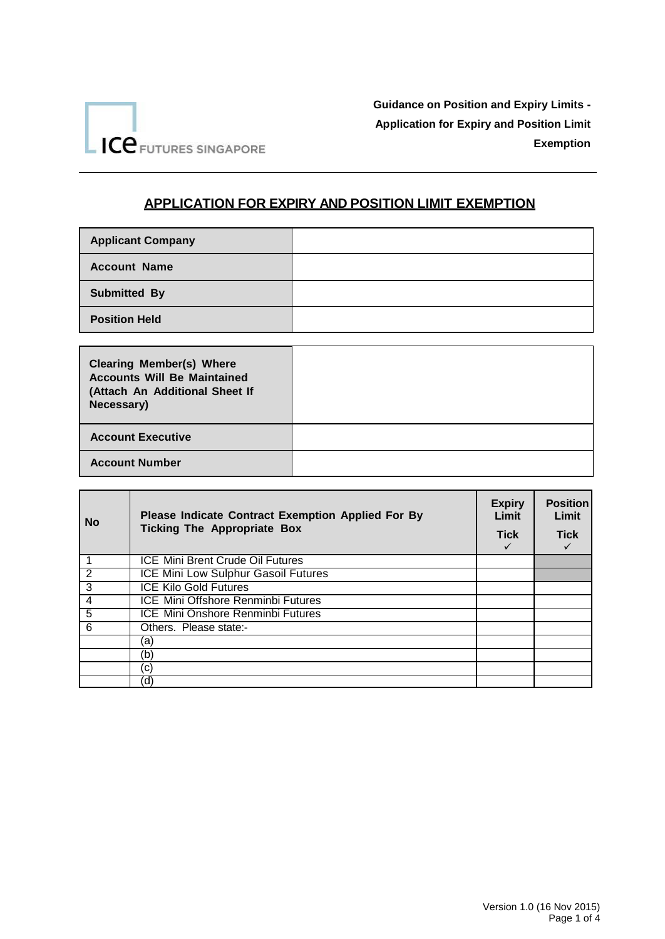

## **APPLICATION FOR EXPIRY AND POSITION LIMIT EXEMPTION**

| <b>Applicant Company</b> |  |
|--------------------------|--|
| <b>Account Name</b>      |  |
| <b>Submitted By</b>      |  |
| <b>Position Held</b>     |  |

| <b>Clearing Member(s) Where</b><br><b>Accounts Will Be Maintained</b><br>(Attach An Additional Sheet If<br>Necessary) |  |
|-----------------------------------------------------------------------------------------------------------------------|--|
| <b>Account Executive</b>                                                                                              |  |
| <b>Account Number</b>                                                                                                 |  |

| <b>No</b>      | <b>Please Indicate Contract Exemption Applied For By</b><br><b>Ticking The Appropriate Box</b> | <b>Expiry</b><br>Limit<br><b>Tick</b> | <b>Position</b><br>Limit<br><b>Tick</b> |
|----------------|------------------------------------------------------------------------------------------------|---------------------------------------|-----------------------------------------|
|                | <b>ICE Mini Brent Crude Oil Futures</b>                                                        |                                       |                                         |
| $\overline{2}$ | ICE Mini Low Sulphur Gasoil Futures                                                            |                                       |                                         |
| 3              | <b>ICE Kilo Gold Futures</b>                                                                   |                                       |                                         |
| $\overline{4}$ | <b>ICE Mini Offshore Renminbi Futures</b>                                                      |                                       |                                         |
| $\overline{5}$ | <b>ICE Mini Onshore Renminbi Futures</b>                                                       |                                       |                                         |
| 6              | Others. Please state:-                                                                         |                                       |                                         |
|                | (a)                                                                                            |                                       |                                         |
|                | (b)                                                                                            |                                       |                                         |
|                | (C)                                                                                            |                                       |                                         |
|                | (d                                                                                             |                                       |                                         |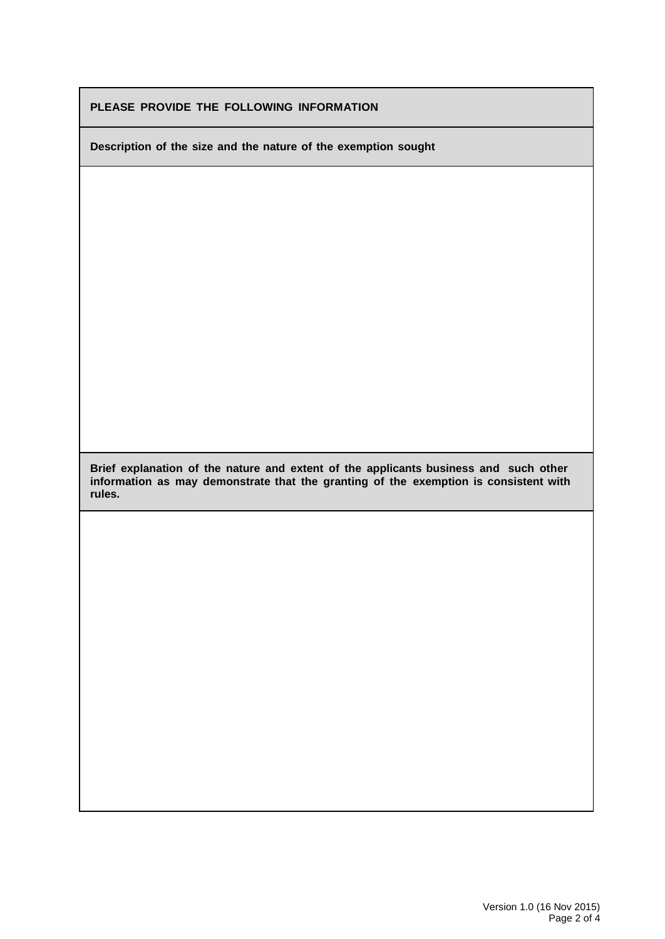|  |  |  |  | PLEASE PROVIDE THE FOLLOWING INFORMATION |
|--|--|--|--|------------------------------------------|
|--|--|--|--|------------------------------------------|

**Description of the size and the nature of the exemption sought**

**Brief explanation of the nature and extent of the applicants business and such other information as may demonstrate that the granting of the exemption is consistent with rules.**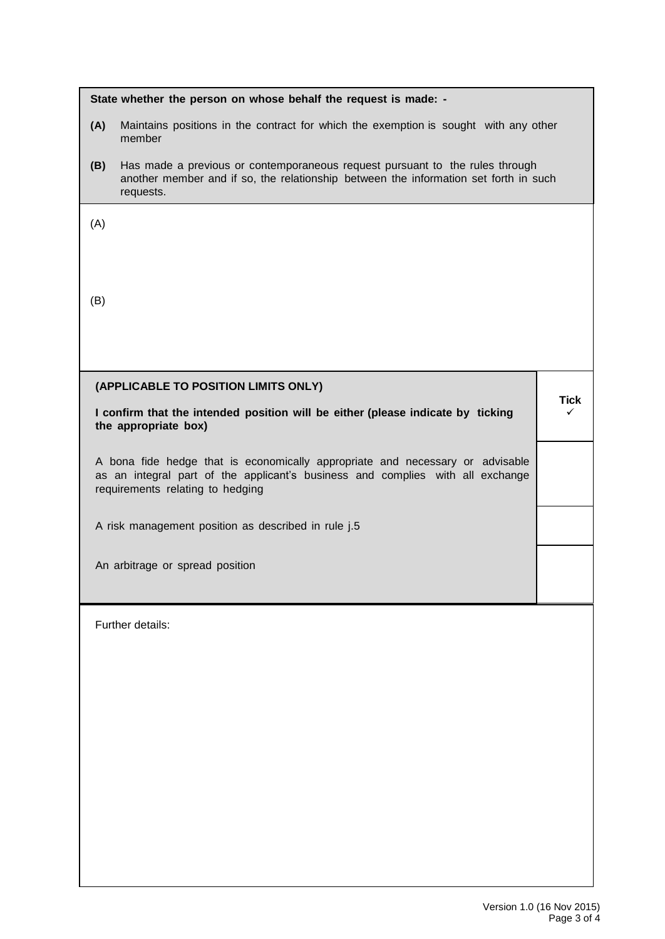|     | State whether the person on whose behalf the request is made: -                                                                                                                                     |      |
|-----|-----------------------------------------------------------------------------------------------------------------------------------------------------------------------------------------------------|------|
| (A) | Maintains positions in the contract for which the exemption is sought with any other<br>member                                                                                                      |      |
| (B) | Has made a previous or contemporaneous request pursuant to the rules through<br>another member and if so, the relationship between the information set forth in such<br>requests.                   |      |
| (A) |                                                                                                                                                                                                     |      |
|     |                                                                                                                                                                                                     |      |
| (B) |                                                                                                                                                                                                     |      |
|     |                                                                                                                                                                                                     |      |
|     |                                                                                                                                                                                                     |      |
|     | (APPLICABLE TO POSITION LIMITS ONLY)                                                                                                                                                                | Tick |
|     | I confirm that the intended position will be either (please indicate by ticking<br>the appropriate box)                                                                                             | ✓    |
|     | A bona fide hedge that is economically appropriate and necessary or advisable<br>as an integral part of the applicant's business and complies with all exchange<br>requirements relating to hedging |      |
|     | A risk management position as described in rule j.5                                                                                                                                                 |      |
|     | An arbitrage or spread position                                                                                                                                                                     |      |
|     |                                                                                                                                                                                                     |      |
|     | Further details:                                                                                                                                                                                    |      |
|     |                                                                                                                                                                                                     |      |
|     |                                                                                                                                                                                                     |      |
|     |                                                                                                                                                                                                     |      |
|     |                                                                                                                                                                                                     |      |
|     |                                                                                                                                                                                                     |      |
|     |                                                                                                                                                                                                     |      |
|     |                                                                                                                                                                                                     |      |
|     |                                                                                                                                                                                                     |      |